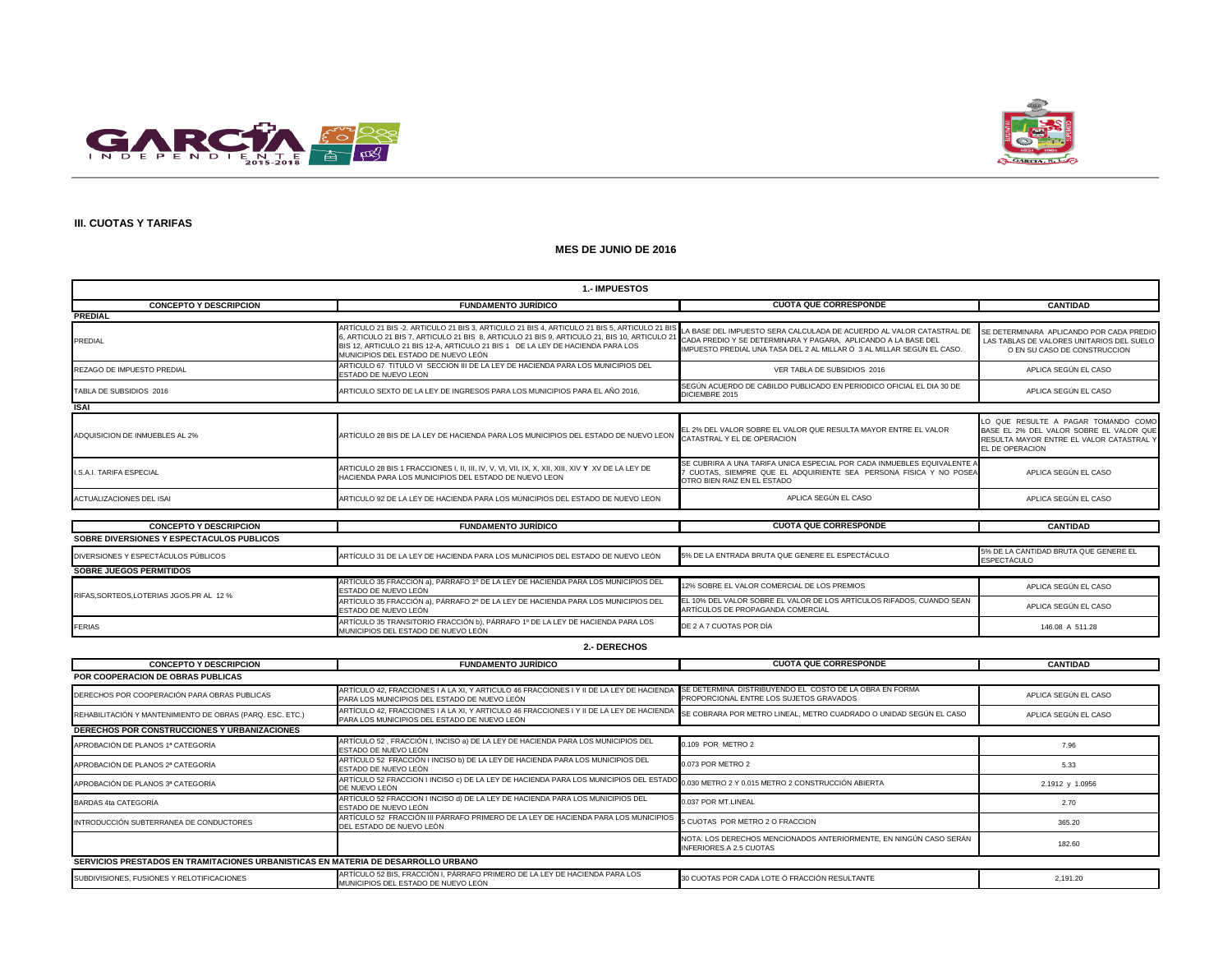



### **III. CUOTAS Y TARIFAS**

#### **MES DE JUNIO DE 2016**

| <b>1.-IMPUESTOS</b>                       |                                                                                                                                                                                                                                                                                                                      |                                                                                                                                                                                                                  |                                                                                                                                               |  |
|-------------------------------------------|----------------------------------------------------------------------------------------------------------------------------------------------------------------------------------------------------------------------------------------------------------------------------------------------------------------------|------------------------------------------------------------------------------------------------------------------------------------------------------------------------------------------------------------------|-----------------------------------------------------------------------------------------------------------------------------------------------|--|
| <b>CONCEPTO Y DESCRIPCION</b>             | <b>FUNDAMENTO JURÍDICO</b>                                                                                                                                                                                                                                                                                           | <b>CUOTA QUE CORRESPONDE</b>                                                                                                                                                                                     | <b>CANTIDAD</b>                                                                                                                               |  |
| <b>PREDIAL</b>                            |                                                                                                                                                                                                                                                                                                                      |                                                                                                                                                                                                                  |                                                                                                                                               |  |
| PREDIAL                                   | ARTÍCULO 21 BIS -2. ARTICULO 21 BIS 3, ARTICULO 21 BIS 4, ARTICULO 21 BIS 5, ARTICULO 21 BI<br>6, ARTICULO 21 BIS 7, ARTICULO 21 BIS 8, ARTICULO 21 BIS 9, ARTICULO 21, BIS 10, ARTICULO 21<br>BIS 12. ARTICULO 21 BIS 12-A. ARTICULO 21 BIS 1 DE LA LEY DE HACIENDA PARA LOS<br>MUNICIPIOS DEL ESTADO DE NUEVO LEÓN | LA BASE DEL IMPUESTO SERA CALCULADA DE ACUERDO AL VALOR CATASTRAL DE<br>CADA PREDIO Y SE DETERMINARA Y PAGARA, APLICANDO A LA BASE DEL<br>IMPUESTO PREDIAL UNA TASA DEL 2 AL MILLAR Ó 3 AL MILLAR SEGÚN EL CASO. | SE DETERMINARA APLICANDO POR CADA PREDIO<br>LAS TABLAS DE VALORES UNITARIOS DEL SUELO<br>O EN SU CASO DE CONSTRUCCION                         |  |
| REZAGO DE IMPUESTO PREDIAL                | ARTICULO 67 TITULO VI SECCION III DE LA LEY DE HACIENDA PARA LOS MUNICIPIOS DEL<br>ESTADO DE NUEVO LEON                                                                                                                                                                                                              | VER TABLA DE SUBSIDIOS 2016                                                                                                                                                                                      | APLICA SEGÚN EL CASO                                                                                                                          |  |
| TABLA DE SUBSIDIOS 2016                   | ARTICULO SEXTO DE LA LEY DE INGRESOS PARA LOS MUNICIPIOS PARA EL AÑO 2016,                                                                                                                                                                                                                                           | SEGÚN ACUERDO DE CABILDO PUBLICADO EN PERIODICO OFICIAL EL DIA 30 DE<br>DICIEMBRE 2015                                                                                                                           | APLICA SEGÚN EL CASO                                                                                                                          |  |
| <b>ISAI</b>                               |                                                                                                                                                                                                                                                                                                                      |                                                                                                                                                                                                                  |                                                                                                                                               |  |
| ADQUISICION DE INMUEBLES AL 2%            | ARTÍCULO 28 BIS DE LA LEY DE HACIENDA PARA LOS MUNICIPIOS DEL ESTADO DE NUEVO LEON                                                                                                                                                                                                                                   | EL 2% DEL VALOR SOBRE EL VALOR QUE RESULTA MAYOR ENTRE EL VALOR<br>CATASTRAL Y EL DE OPERACION                                                                                                                   | LO QUE RESULTE A PAGAR TOMANDO COMO<br>BASE EL 2% DEL VALOR SOBRE EL VALOR QUE<br>RESULTA MAYOR ENTRE EL VALOR CATASTRAL Y<br>EL DE OPERACION |  |
| <b>LS.A.L TARIFA ESPECIAL</b>             | HACIENDA PARA LOS MUNICIPIOS DEL ESTADO DE NUEVO LEON                                                                                                                                                                                                                                                                | SE CUBRIRA A UNA TARIFA UNICA ESPECIAL POR CADA INMUEBLES EQUIVALENTE A<br>7 CUOTAS, SIEMPRE QUE EL ADQUIRIENTE SEA PERSONA FISICA Y NO POSEA<br>OTRO BIEN RAIZ EN EL ESTADO                                     | APLICA SEGÚN EL CASO                                                                                                                          |  |
| <b>ACTUALIZACIONES DEL ISAI</b>           | ARTICULO 92 DE LA LEY DE HACIENDA PARA LOS MUNICIPIOS DEL ESTADO DE NUEVO LEON                                                                                                                                                                                                                                       | APLICA SEGÚN EL CASO                                                                                                                                                                                             | APLICA SEGÚN EL CASO                                                                                                                          |  |
|                                           |                                                                                                                                                                                                                                                                                                                      |                                                                                                                                                                                                                  |                                                                                                                                               |  |
| <b>CONCEPTO Y DESCRIPCION</b>             | <b>FUNDAMENTO JURÍDICO</b>                                                                                                                                                                                                                                                                                           | <b>CUOTA QUE CORRESPONDE</b>                                                                                                                                                                                     | <b>CANTIDAD</b>                                                                                                                               |  |
| SOBRE DIVERSIONES Y ESPECTACULOS PUBLICOS |                                                                                                                                                                                                                                                                                                                      |                                                                                                                                                                                                                  |                                                                                                                                               |  |
| DIVERSIONES Y ESPECTÁCULOS PÚBLICOS       | ARTÍCULO 31 DE LA LEY DE HACIENDA PARA LOS MUNICIPIOS DEL ESTADO DE NUEVO LEÓN                                                                                                                                                                                                                                       | 5% DE LA ENTRADA BRUTA QUE GENERE EL ESPECTÁCULO                                                                                                                                                                 | 5% DE LA CANTIDAD BRUTA QUE GENERE EL<br><b>ESPECTÁCULO</b>                                                                                   |  |
| <b>SOBRE JUEGOS PERMITIDOS</b>            |                                                                                                                                                                                                                                                                                                                      |                                                                                                                                                                                                                  |                                                                                                                                               |  |
| RIFAS.SORTEOS.LOTERIAS JGOS.PR AL 12 %    | ARTÍCULO 35 FRACCIÓN a), PÁRRAFO 1º DE LA LEY DE HACIENDA PARA LOS MUNICIPIOS DEL<br>ESTADO DE NUEVO LEÓN                                                                                                                                                                                                            | 12% SOBRE EL VALOR COMERCIAL DE LOS PREMIOS                                                                                                                                                                      | APLICA SEGÚN EL CASO                                                                                                                          |  |
|                                           | ARTÍCULO 35 FRACCIÓN a), PÁRRAFO 2º DE LA LEY DE HACIENDA PARA LOS MUNICIPIOS DEL<br>ESTADO DE NUEVO LEÓN                                                                                                                                                                                                            | EL 10% DEL VALOR SOBRE EL VALOR DE LOS ARTÍCULOS RIFADOS, CUANDO SEAN<br>ARTÍCULOS DE PROPAGANDA COMERCIAL                                                                                                       | APLICA SEGÚN EL CASO                                                                                                                          |  |
| <b>FERIAS</b>                             | ARTÍCULO 35 TRANSITORIO FRACCIÓN b), PÁRRAFO 1º DE LA LEY DE HACIENDA PARA LOS<br>MUNICIPIOS DEL ESTADO DE NUEVO LEÓN                                                                                                                                                                                                | DE 2 A 7 CUOTAS POR DÍA                                                                                                                                                                                          | 146.08 A 511.28                                                                                                                               |  |

#### **2.- DERECHOS**

| <b>CONCEPTO Y DESCRIPCION</b>                                                     | <b>FUNDAMENTO JURÍDICO</b>                                                                                                                                           | <b>CUOTA QUE CORRESPONDE</b>                                                                         | <b>CANTIDAD</b>      |
|-----------------------------------------------------------------------------------|----------------------------------------------------------------------------------------------------------------------------------------------------------------------|------------------------------------------------------------------------------------------------------|----------------------|
| <b>POR COOPERACION DE OBRAS PUBLICAS</b>                                          |                                                                                                                                                                      |                                                                                                      |                      |
| DERECHOS POR COOPERACIÓN PARA OBRAS PUBLICAS                                      | ARTÍCULO 42. FRACCIONES I A LA XI. Y ARTICULO 46 FRACCIONES I Y II DE LA LEY DE HACIENDA<br>PARA LOS MUNICIPIOS DEL ESTADO DE NUEVO LEÓN                             | SE DETERMINA DISTRIBUYENDO EL COSTO DE LA OBRA EN FORMA<br>PROPORCIONAL ENTRE LOS SUJETOS GRAVADOS   | APLICA SEGÚN EL CASO |
| REHABILITACIÓN Y MANTENIMIENTO DE OBRAS (PARQ. ESC. ETC.)                         | ARTÍCULO 42. FRACCIONES I A LA XI, Y ARTÍCULO 46 FRACCIONES I Y II DE LA LEY DE HACIENDA<br>PARA LOS MUNICIPIOS DEL ESTADO DE NUEVO LEÓN                             | SE COBRARA POR METRO LINEAL, METRO CUADRADO O UNIDAD SEGÚN EL CASO                                   | APLICA SEGÚN EL CASO |
| <b>DERECHOS POR CONSTRUCCIONES Y URBANIZACIONES</b>                               |                                                                                                                                                                      |                                                                                                      |                      |
| APROBACIÓN DE PLANOS 1ª CATEGORÍA                                                 | ARTÍCULO 52, FRACCIÓN I, INCISO a) DE LA LEY DE HACIENDA PARA LOS MUNICIPIOS DEL<br>ESTADO DE NUEVO LEÓN                                                             | 0.109 POR METRO 2                                                                                    | 7.96                 |
| APROBACIÓN DE PLANOS 2ª CATEGORÍA                                                 | ARTÍCULO 52 FRACCIÓN I INCISO b) DE LA LEY DE HACIENDA PARA LOS MUNICIPIOS DEL<br>ESTADO DE NUEVO LEÓN                                                               | 0.073 POR METRO 2                                                                                    | 5.33                 |
| APROBACIÓN DE PLANOS 3ª CATEGORÍA                                                 | ARTÍCULO 52 FRACCION I INCISO c) DE LA LEY DE HACIENDA PARA LOS MUNICIPIOS DEL ESTADO <sub>0.030</sub> METRO 2 Y 0.015 METRO 2 CONSTRUCCIÓN ABIERTA<br>DE NUEVO LEÓN |                                                                                                      | 2.1912 y 1.0956      |
| BARDAS 4ta CATEGORÍA                                                              | ARTÍCULO 52 FRACCION I INCISO d) DE LA LEY DE HACIENDA PARA LOS MUNICIPIOS DEL<br>ESTADO DE NUEVO LEÓN                                                               | 0.037 POR MT.LINEAL                                                                                  | 2.70                 |
| INTRODUCCIÓN SUBTERRANEA DE CONDUCTORES                                           | ARTÍCULO 52 FRACCIÓN III PÁRRAFO PRIMERO DE LA LEY DE HACIENDA PARA LOS MUNICIPIOS<br>DEL ESTADO DE NUEVO LEÓN                                                       | 5 CUOTAS POR METRO 2 O FRACCION                                                                      | 365.20               |
|                                                                                   |                                                                                                                                                                      | NOTA: LOS DERECHOS MENCIONADOS ANTERIORMENTE, EN NINGÚN CASO SERÁN<br><b>INFERIORES A 2.5 CUOTAS</b> | 182.60               |
| SERVICIOS PRESTADOS EN TRAMITACIONES URBANISTICAS EN MATERIA DE DESARROLLO URBANO |                                                                                                                                                                      |                                                                                                      |                      |
| SUBDIVISIONES. FUSIONES Y RELOTIFICACIONES                                        | ARTÍCULO 52 BIS, FRACCIÓN I, PÁRRAFO PRIMERO DE LA LEY DE HACIENDA PARA LOS<br>MUNICIPIOS DEL ESTADO DE NUEVO LEÓN                                                   | 30 CUOTAS POR CADA LOTE Ó FRACCIÓN RESULTANTE                                                        | 2,191.20             |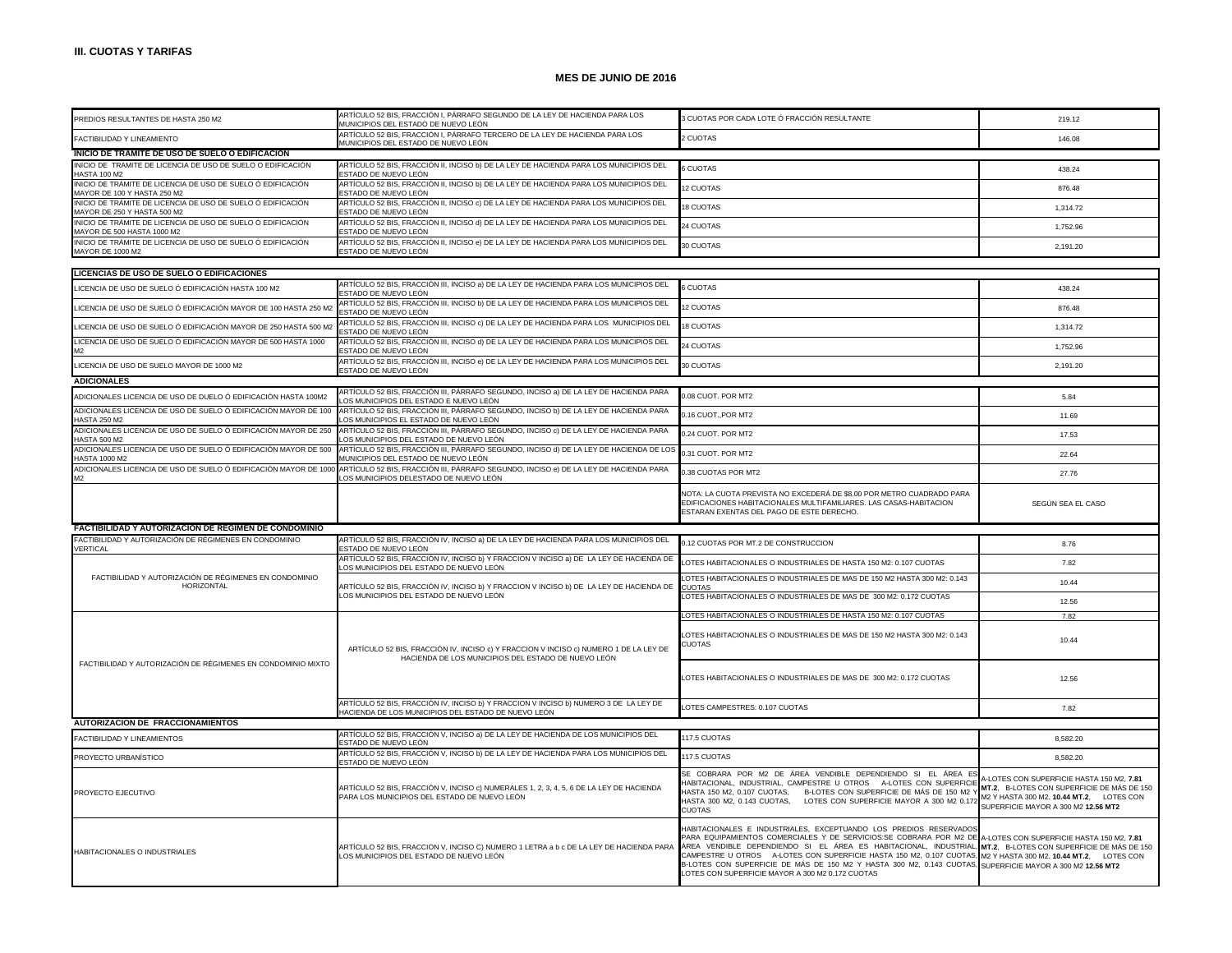| PREDIOS RESULTANTES DE HASTA 250 M2                                                        | ARTÍCULO 52 BIS, FRACCIÓN I, PÁRRAFO SEGUNDO DE LA LEY DE HACIENDA PARA LOS                                                                 | 3 CUOTAS POR CADA LOTE Ó FRACCIÓN RESULTANTE                                                                                                                                                                                                                                                                                                                                                                                                                                                                                                                                        | 219.12                                                                                                                                                                     |
|--------------------------------------------------------------------------------------------|---------------------------------------------------------------------------------------------------------------------------------------------|-------------------------------------------------------------------------------------------------------------------------------------------------------------------------------------------------------------------------------------------------------------------------------------------------------------------------------------------------------------------------------------------------------------------------------------------------------------------------------------------------------------------------------------------------------------------------------------|----------------------------------------------------------------------------------------------------------------------------------------------------------------------------|
| FACTIBILIDAD Y LINEAMIENTO                                                                 | MUNICIPIOS DEL ESTADO DE NUEVO LEÓN<br>ARTÍCULO 52 BIS, FRACCIÓN I, PÁRRAFO TERCERO DE LA LEY DE HACIENDA PARA LOS                          | <b>2 CUOTAS</b>                                                                                                                                                                                                                                                                                                                                                                                                                                                                                                                                                                     | 146.08                                                                                                                                                                     |
| INICIO DE TRAMITE DE USO DE SUELO O EDIFICACION                                            | MUNICIPIOS DEL ESTADO DE NUEVO LEÓN                                                                                                         |                                                                                                                                                                                                                                                                                                                                                                                                                                                                                                                                                                                     |                                                                                                                                                                            |
| INICIO DE TRAMITE DE LICENCIA DE USO DE SUELO O EDIFICACIÓN                                | ARTÍCULO 52 BIS, FRACCIÓN II, INCISO b) DE LA LEY DE HACIENDA PARA LOS MUNICIPIOS DEL                                                       | <b>6 CUOTAS</b>                                                                                                                                                                                                                                                                                                                                                                                                                                                                                                                                                                     | 438.24                                                                                                                                                                     |
| <b>HASTA 100 M2</b><br>INICIO DE TRÁMITE DE LICENCIA DE USO DE SUELO Ó EDIFICACIÓN         | ESTADO DE NUEVO LEÓN<br>ARTÍCULO 52 BIS, FRACCIÓN II, INCISO b) DE LA LEY DE HACIENDA PARA LOS MUNICIPIOS DEL                               |                                                                                                                                                                                                                                                                                                                                                                                                                                                                                                                                                                                     |                                                                                                                                                                            |
| MAYOR DE 100 Y HASTA 250 M2                                                                | ESTADO DE NUEVO LEÓN                                                                                                                        | 12 CUOTAS                                                                                                                                                                                                                                                                                                                                                                                                                                                                                                                                                                           | 876.48                                                                                                                                                                     |
| INICIO DE TRÁMITE DE LICENCIA DE USO DE SUELO Ó EDIFICACIÓN<br>MAYOR DE 250 Y HASTA 500 M2 | ARTÍCULO 52 BIS, FRACCIÓN II, INCISO c) DE LA LEY DE HACIENDA PARA LOS MUNICIPIOS DEL<br>ESTADO DE NUEVO LEÓN                               | 18 CUOTAS                                                                                                                                                                                                                                                                                                                                                                                                                                                                                                                                                                           | 1,314.72                                                                                                                                                                   |
| INICIO DE TRÁMITE DE LICENCIA DE USO DE SUELO Ó EDIFICACIÓN<br>MAYOR DE 500 HASTA 1000 M2  | ARTÍCULO 52 BIS, FRACCIÓN II, INCISO d) DE LA LEY DE HACIENDA PARA LOS MUNICIPIOS DEL<br>ESTADO DE NUEVO LEÓN                               | 24 CUOTAS                                                                                                                                                                                                                                                                                                                                                                                                                                                                                                                                                                           | 1,752.96                                                                                                                                                                   |
| INICIO DE TRÁMITE DE LICENCIA DE USO DE SUELO Ó EDIFICACIÓN<br>MAYOR DE 1000 M2            | ARTÍCULO 52 BIS, FRACCIÓN II, INCISO e) DE LA LEY DE HACIENDA PARA LOS MUNICIPIOS DEL<br>ESTADO DE NUEVO LEÓN                               | 30 CUOTAS                                                                                                                                                                                                                                                                                                                                                                                                                                                                                                                                                                           | 2,191.20                                                                                                                                                                   |
|                                                                                            |                                                                                                                                             |                                                                                                                                                                                                                                                                                                                                                                                                                                                                                                                                                                                     |                                                                                                                                                                            |
| LICENCIAS DE USO DE SUELO O EDIFICACIONES                                                  | ARTÍCULO 52 BIS, FRACCIÓN III, INCISO a) DE LA LEY DE HACIENDA PARA LOS MUNICIPIOS DEL                                                      |                                                                                                                                                                                                                                                                                                                                                                                                                                                                                                                                                                                     |                                                                                                                                                                            |
| LICENCIA DE USO DE SUELO Ó EDIFICACIÓN HASTA 100 M2                                        | ESTADO DE NUEVO LEÓN                                                                                                                        | 6 CUOTAS                                                                                                                                                                                                                                                                                                                                                                                                                                                                                                                                                                            | 438.24                                                                                                                                                                     |
| LICENCIA DE USO DE SUELO Ó EDIFICACIÓN MAYOR DE 100 HASTA 250 M2                           | ARTÍCULO 52 BIS, FRACCIÓN III, INCISO b) DE LA LEY DE HACIENDA PARA LOS MUNICIPIOS DEL<br>ESTADO DE NUEVO LEÓN                              | 12 CUOTAS                                                                                                                                                                                                                                                                                                                                                                                                                                                                                                                                                                           | 876.48                                                                                                                                                                     |
| LICENCIA DE USO DE SUELO Ó EDIFICACIÓN MAYOR DE 250 HASTA 500 M2                           | ARTÍCULO 52 BIS, FRACCIÓN III, INCISO c) DE LA LEY DE HACIENDA PARA LOS MUNICIPIOS DEL<br>ESTADO DE NUEVO LEÓN                              | 18 CUOTAS                                                                                                                                                                                                                                                                                                                                                                                                                                                                                                                                                                           | 1,314.72                                                                                                                                                                   |
| LICENCIA DE USO DE SUELO Ó EDIFICACIÓN MAYOR DE 500 HASTA 1000                             | ARTÍCULO 52 BIS, FRACCIÓN III, INCISO d) DE LA LEY DE HACIENDA PARA LOS MUNICIPIOS DEL<br>ESTADO DE NUEVO LEÓN                              | 24 CUOTAS                                                                                                                                                                                                                                                                                                                                                                                                                                                                                                                                                                           | 1.752.96                                                                                                                                                                   |
| LICENCIA DE USO DE SUELO MAYOR DE 1000 M2                                                  | ARTÍCULO 52 BIS, FRACCIÓN III, INCISO e) DE LA LEY DE HACIENDA PARA LOS MUNICIPIOS DEL<br>ESTADO DE NUEVO LEÓN                              | 30 CUOTAS                                                                                                                                                                                                                                                                                                                                                                                                                                                                                                                                                                           | 2,191.20                                                                                                                                                                   |
| <b>ADICIONALES</b>                                                                         |                                                                                                                                             |                                                                                                                                                                                                                                                                                                                                                                                                                                                                                                                                                                                     |                                                                                                                                                                            |
| ADICIONALES LICENCIA DE USO DE DUELO Ó EDIFICACIÓN HASTA 100M2                             | ARTÍCULO 52 BIS, FRACCIÓN III, PÁRRAFO SEGUNDO, INCISO a) DE LA LEY DE HACIENDA PARA<br>OS MUNICIPIOS DEL ESTADO E NUEVO LEÓN               | 0.08 CUOT. POR MT2                                                                                                                                                                                                                                                                                                                                                                                                                                                                                                                                                                  | 5.84                                                                                                                                                                       |
| ADICIONALES LICENCIA DE USO DE SUELO Ó EDIFICACIÓN MAYOR DE 100<br><b>HASTA 250 M2</b>     | ARTÍCULO 52 BIS, FRACCIÓN III, PÁRRAFO SEGUNDO, INCISO b) DE LA LEY DE HACIENDA PARA<br>LOS MUNICIPIOS EL ESTADO DE NUEVO LEÓN              | 0.16 CUOT., POR MT2                                                                                                                                                                                                                                                                                                                                                                                                                                                                                                                                                                 | 11.69                                                                                                                                                                      |
| ADICIONALES LICENCIA DE USO DE SUELO Ó EDIFICACIÓN MAYOR DE 250                            | ARTÍCULO 52 BIS, FRACCIÓN III, PÁRRAFO SEGUNDO, INCISO c) DE LA LEY DE HACIENDA PARA                                                        | 0.24 CUOT. POR MT2                                                                                                                                                                                                                                                                                                                                                                                                                                                                                                                                                                  | 17.53                                                                                                                                                                      |
| <b>HASTA 500 M2</b><br>ADICIONALES LICENCIA DE USO DE SUELO Ó EDIFICACIÓN MAYOR DE 500     | OS MUNICIPIOS DEL ESTADO DE NUEVO LEÓN<br>ARTÍCULO 52 BIS, FRACCIÓN III, PÁRRAFO SEGUNDO, INCISO d) DE LA LEY DE HACIENDA DE LOS            | 0.31 CUOT. POR MT2                                                                                                                                                                                                                                                                                                                                                                                                                                                                                                                                                                  | 22.64                                                                                                                                                                      |
| <b>HASTA 1000 M2</b><br>ADICIONALES LICENCIA DE USO DE SUELO Ó EDIFICACIÓN MAYOR DE 1000   | IUNICIPIOS DEL ESTADO DE NUEVO LEÓN<br>ARTÍCULO 52 BIS, FRACCIÓN III, PÁRRAFO SEGUNDO, INCISO e) DE LA LEY DE HACIENDA PARA                 |                                                                                                                                                                                                                                                                                                                                                                                                                                                                                                                                                                                     |                                                                                                                                                                            |
| M <sub>2</sub>                                                                             | OS MUNICIPIOS DELESTADO DE NUEVO LEÓN                                                                                                       | 0.38 CUOTAS POR MT2                                                                                                                                                                                                                                                                                                                                                                                                                                                                                                                                                                 | 27.76                                                                                                                                                                      |
|                                                                                            |                                                                                                                                             | NOTA: LA CUOTA PREVISTA NO EXCEDERÁ DE \$8.00 POR METRO CUADRADO PARA<br>EDIFICACIONES HABITACIONALES MULTIFAMILIARES. LAS CASAS-HABITACION<br>ESTARAN EXENTAS DEL PAGO DE ESTE DERECHO.                                                                                                                                                                                                                                                                                                                                                                                            | SEGÚN SEA EL CASO                                                                                                                                                          |
| FACTIBILIDAD Y AUTORIZACION DE REGIMEN DE CONDOMINIO                                       |                                                                                                                                             |                                                                                                                                                                                                                                                                                                                                                                                                                                                                                                                                                                                     |                                                                                                                                                                            |
| FACTIBILIDAD Y AUTORIZACIÓN DE RÉGIMENES EN CONDOMINIO<br>VERTICAL                         | ARTÍCULO 52 BIS, FRACCIÓN IV, INCISO a) DE LA LEY DE HACIENDA PARA LOS MUNICIPIOS DEL<br>ESTADO DE NUEVO LEÓN                               | 0.12 CUOTAS POR MT.2 DE CONSTRUCCION                                                                                                                                                                                                                                                                                                                                                                                                                                                                                                                                                | 8.76                                                                                                                                                                       |
|                                                                                            | ARTÍCULO 52 BIS, FRACCIÓN IV, INCISO b) Y FRACCION V INCISO a) DE LA LEY DE HACIENDA DE<br>LOS MUNICIPIOS DEL ESTADO DE NUEVO LEÓN          | LOTES HABITACIONALES O INDUSTRIALES DE HASTA 150 M2: 0.107 CUOTAS                                                                                                                                                                                                                                                                                                                                                                                                                                                                                                                   | 7.82                                                                                                                                                                       |
| FACTIBILIDAD Y AUTORIZACIÓN DE RÉGIMENES EN CONDOMINIO<br>HORIZONTAL                       | ARTÍCULO 52 BIS, FRACCIÓN IV, INCISO b) Y FRACCION V INCISO b) DE LA LEY DE HACIENDA DE<br>LOS MUNICIPIOS DEL ESTADO DE NUEVO LEÓN          | LOTES HABITACIONALES O INDUSTRIALES DE MAS DE 150 M2 HASTA 300 M2: 0.143<br><b>CUOTAS</b>                                                                                                                                                                                                                                                                                                                                                                                                                                                                                           | 10.44                                                                                                                                                                      |
|                                                                                            |                                                                                                                                             | LOTES HABITACIONALES O INDUSTRIALES DE MAS DE 300 M2: 0.172 CUOTAS                                                                                                                                                                                                                                                                                                                                                                                                                                                                                                                  | 12.56                                                                                                                                                                      |
|                                                                                            |                                                                                                                                             | LOTES HABITACIONALES O INDUSTRIALES DE HASTA 150 M2: 0.107 CUOTAS                                                                                                                                                                                                                                                                                                                                                                                                                                                                                                                   | 7.82                                                                                                                                                                       |
|                                                                                            |                                                                                                                                             |                                                                                                                                                                                                                                                                                                                                                                                                                                                                                                                                                                                     |                                                                                                                                                                            |
|                                                                                            | ARTÍCULO 52 BIS, FRACCIÓN IV, INCISO c) Y FRACCION V INCISO c) NUMERO 1 DE LA LEY DE<br>HACIENDA DE LOS MUNICIPIOS DEL ESTADO DE NUEVO LEÓN | LOTES HABITACIONALES O INDUSTRIALES DE MAS DE 150 M2 HASTA 300 M2: 0.143<br><b>CUOTAS</b>                                                                                                                                                                                                                                                                                                                                                                                                                                                                                           | 10.44                                                                                                                                                                      |
| FACTIBILIDAD Y AUTORIZACIÓN DE RÉGIMENES EN CONDOMINIO MIXTO                               |                                                                                                                                             | LOTES HABITACIONALES O INDUSTRIALES DE MAS DE 300 M2: 0.172 CUOTAS                                                                                                                                                                                                                                                                                                                                                                                                                                                                                                                  | 12.56                                                                                                                                                                      |
|                                                                                            | ARTÍCULO 52 BIS, FRACCIÓN IV, INCISO b) Y FRACCION V INCISO b) NUMERO 3 DE LA LEY DE                                                        | LOTES CAMPESTRES: 0.107 CUOTAS                                                                                                                                                                                                                                                                                                                                                                                                                                                                                                                                                      | 7.82                                                                                                                                                                       |
| <b>AUTORIZACION DE FRACCIONAMIENTOS</b>                                                    | HACIENDA DE LOS MUNICIPIOS DEL ESTADO DE NUEVO LEÓN                                                                                         |                                                                                                                                                                                                                                                                                                                                                                                                                                                                                                                                                                                     |                                                                                                                                                                            |
| FACTIBILIDAD Y LINEAMIENTOS                                                                | ARTÍCULO 52 BIS, FRACCIÓN V, INCISO a) DE LA LEY DE HACIENDA DE LOS MUNICIPIOS DEL                                                          | 117.5 CUOTAS                                                                                                                                                                                                                                                                                                                                                                                                                                                                                                                                                                        | 8.582.20                                                                                                                                                                   |
|                                                                                            | ESTADO DE NUEVO LEÓN<br>ARTÍCULO 52 BIS, FRACCIÓN V, INCISO b) DE LA LEY DE HACIENDA PARA LOS MUNICIPIOS DEL                                | 117.5 CUOTAS                                                                                                                                                                                                                                                                                                                                                                                                                                                                                                                                                                        |                                                                                                                                                                            |
| PROYECTO URBANÍSTICO                                                                       | ESTADO DE NUEVO LEÓN                                                                                                                        |                                                                                                                                                                                                                                                                                                                                                                                                                                                                                                                                                                                     | 8,582.20                                                                                                                                                                   |
| PROYECTO EJECUTIVO                                                                         | ARTÍCULO 52 BIS, FRACCIÓN V, INCISO c) NUMERALES 1, 2, 3, 4, 5, 6 DE LA LEY DE HACIENDA<br>PARA LOS MUNICIPIOS DEL ESTADO DE NUEVO LEÓN     | SE COBRARA POR M2 DE ÁREA VENDIBLE DEPENDIENDO SI EL ÁREA ES<br>HABITACIONAL, INDUSTRIAL, CAMPESTRE U OTROS A-LOTES CON SUPERFICIE<br>HASTA 150 M2, 0.107 CUOTAS.<br>B-LOTES CON SUPERFICIE DE MÁS DE 150 M2 Y<br>HASTA 300 M2, 0.143 CUOTAS,<br>LOTES CON SUPERFICIE MAYOR A 300 M2 0.172<br><b>CUOTAS</b>                                                                                                                                                                                                                                                                         | 1-LOTES CON SUPERFICIE HASTA 150 M2. 7.81<br>MT.2. B-LOTES CON SUPERFICIE DE MÁS DE 150<br>M2 Y HASTA 300 M2, 10.44 MT.2, LOTES CON<br>SUPERFICIE MAYOR A 300 M2 12.56 MT2 |
| <b>HABITACIONALES O INDUSTRIALES</b>                                                       | ARTÍCULO 52 BIS, FRACCION V, INCISO C) NUMERO 1 LETRA a b c DE LA LEY DE HACIENDA PARA<br>LOS MUNICIPIOS DEL ESTADO DE NUEVO LEÓN           | HABITACIONALES E INDUSTRIALES, EXCEPTUANDO LOS PREDIOS RESERVADOS<br>PARA EQUIPAMIENTOS COMERCIALES Y DE SERVICIOS:SE COBRARA POR M2 DE A-LOTES CON SUPERFICIE HASTA 150 M2, 7.81<br>ÁREA VENDIBLE DEPENDIENDO SI EL ÁREA ES HABITACIONAL, INDUSTRIAL, MT.2, B-LOTES CON SUPERFICIE DE MÁS DE 150<br>CAMPESTRE U OTROS A-LOTES CON SUPERFICIE HASTA 150 M2, 0.107 CUOTAS, M2 Y HASTA 300 M2, 10.44 MT.2, LOTES CON<br>B-LOTES CON SUPERFICIE DE MÁS DE 150 M2 Y HASTA 300 M2, 0.143 CUOTAS, SUPERFICIE MAYOR A 300 M2 12.56 MT2<br>LOTES CON SUPERFICIE MAYOR A 300 M2 0.172 CUOTAS |                                                                                                                                                                            |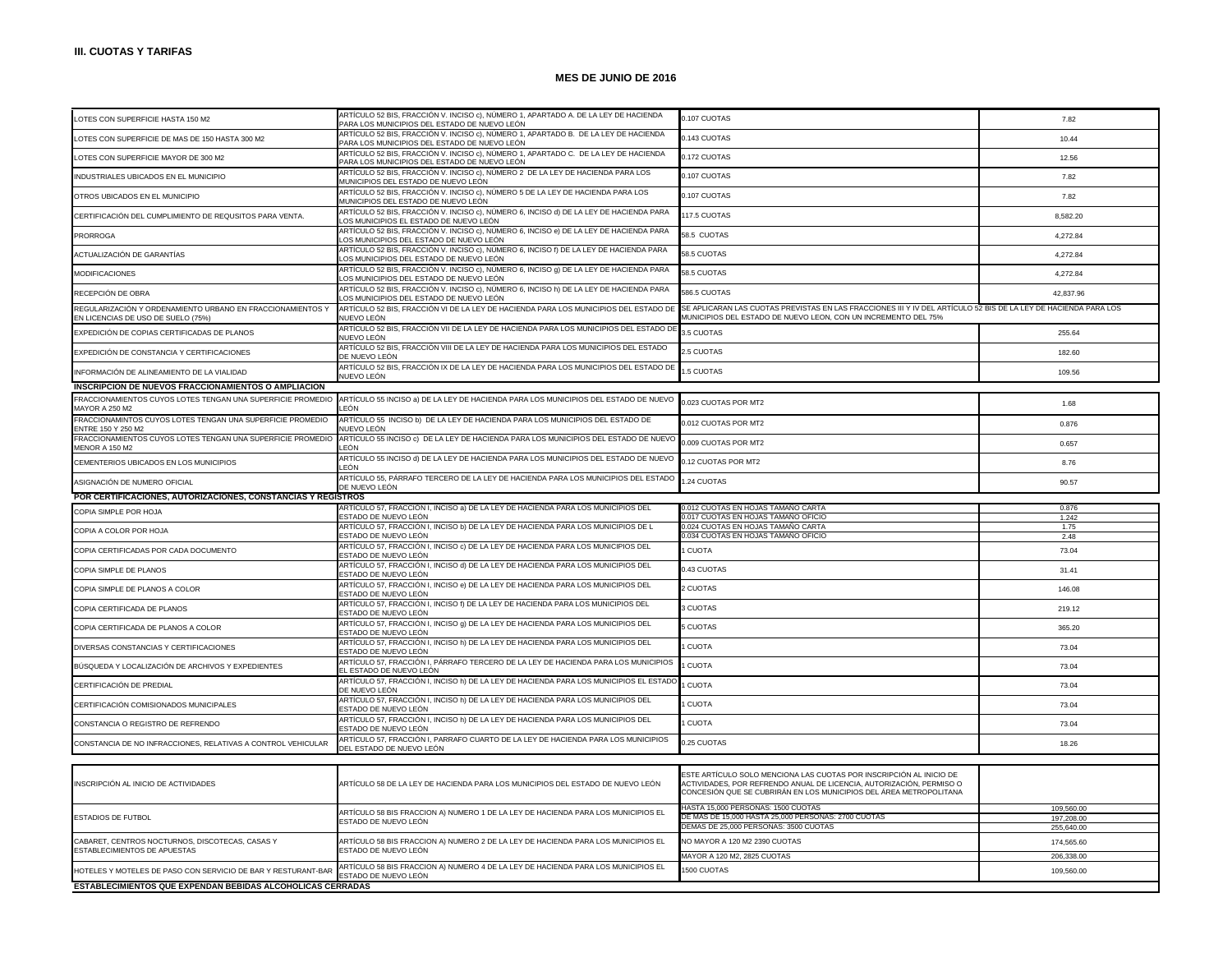| LOTES CON SUPERFICIE HASTA 150 M2                                                                | ARTÍCULO 52 BIS, FRACCIÓN V. INCISO c), NÚMERO 1, APARTADO A. DE LA LEY DE HACIENDA<br>PARA LOS MUNICIPIOS DEL ESTADO DE NUEVO LEÓN | 0.107 CUOTAS                                                                                                                                                                                                      | 7.82                     |
|--------------------------------------------------------------------------------------------------|-------------------------------------------------------------------------------------------------------------------------------------|-------------------------------------------------------------------------------------------------------------------------------------------------------------------------------------------------------------------|--------------------------|
| LOTES CON SUPERFICIE DE MAS DE 150 HASTA 300 M2                                                  | ARTÍCULO 52 BIS, FRACCIÓN V. INCISO c), NÚMERO 1, APARTADO B. DE LA LEY DE HACIENDA<br>PARA LOS MUNICIPIOS DEL ESTADO DE NUEVO LEÓN | 0.143 CUOTAS                                                                                                                                                                                                      | 10.44                    |
| LOTES CON SUPERFICIE MAYOR DE 300 M2                                                             | ARTÍCULO 52 BIS, FRACCIÓN V. INCISO c), NÚMERO 1, APARTADO C. DE LA LEY DE HACIENDA<br>PARA LOS MUNICIPIOS DEL ESTADO DE NUEVO LEÓN | 0.172 CUOTAS                                                                                                                                                                                                      | 12.56                    |
| INDUSTRIALES UBICADOS EN EL MUNICIPIO                                                            | ARTÍCULO 52 BIS, FRACCIÓN V. INCISO c), NÚMERO 2 DE LA LEY DE HACIENDA PARA LOS<br>MUNICIPIOS DEL ESTADO DE NUEVO LEÓN              | 0.107 CUOTAS                                                                                                                                                                                                      | 7.82                     |
| OTROS UBICADOS EN EL MUNICIPIO                                                                   | ARTÍCULO 52 BIS, FRACCIÓN V. INCISO c), NÚMERO 5 DE LA LEY DE HACIENDA PARA LOS<br>MUNICIPIOS DEL ESTADO DE NUEVO LEÓN              | 0.107 CUOTAS                                                                                                                                                                                                      | 7.82                     |
| CERTIFICACIÓN DEL CUMPLIMIENTO DE REQUSITOS PARA VENTA.                                          | ARTÍCULO 52 BIS, FRACCIÓN V. INCISO c), NÚMERO 6, INCISO d) DE LA LEY DE HACIENDA PARA<br>OS MUNICIPIOS EL ESTADO DE NUEVO LEÓN.    | 117.5 CUOTAS                                                                                                                                                                                                      | 8,582.20                 |
| <b>PRORROGA</b>                                                                                  | ARTÍCULO 52 BIS, FRACCIÓN V. INCISO c), NÚMERO 6, INCISO e) DE LA LEY DE HACIENDA PARA<br>OS MUNICIPIOS DEL ESTADO DE NUEVO LEÓN    | 58.5 CUOTAS                                                                                                                                                                                                       | 4,272.84                 |
| ACTUALIZACIÓN DE GARANTÍAS                                                                       | ARTÍCULO 52 BIS, FRACCIÓN V. INCISO c), NÚMERO 6, INCISO f) DE LA LEY DE HACIENDA PARA<br>OS MUNICIPIOS DEL ESTADO DE NUEVO LEÓN    | 58.5 CUOTAS                                                                                                                                                                                                       | 4.272.84                 |
| <b>MODIFICACIONES</b>                                                                            | ARTÍCULO 52 BIS, FRACCIÓN V. INCISO c), NÚMERO 6, INCISO 9) DE LA LEY DE HACIENDA PARA<br>OS MUNICIPIOS DEL ESTADO DE NUEVO LEÓN.   | 58.5 CUOTAS                                                                                                                                                                                                       | 4.272.84                 |
| RECEPCIÓN DE OBRA                                                                                | ARTÍCULO 52 BIS, FRACCIÓN V. INCISO c), NÚMERO 6, INCISO h) DE LA LEY DE HACIENDA PARA<br>OS MUNICIPIOS DEL ESTADO DE NUEVO LEÓN    | 586.5 CUOTAS                                                                                                                                                                                                      | 42.837.96                |
| REGULARIZACIÓN Y ORDENAMIENTO URBANO EN FRACCIONAMIENTOS Y<br>EN LICENCIAS DE USO DE SUELO (75%) | ARTÍCULO 52 BIS, FRACCIÓN VI DE LA LEY DE HACIENDA PARA LOS MUNICIPIOS DEL ESTADO DE<br>NUEVO LEÓN                                  | SE APLICARAN LAS CUOTAS PREVISTAS EN LAS FRACCIONES III Y IV DEL ARTÍCULO 52 BIS DE LA LEY DE HACIENDA PARA LOS<br>MUNICIPIOS DEL ESTADO DE NUEVO LEON, CON UN INCREMENTO DEL 75%                                 |                          |
| EXPEDICIÓN DE COPIAS CERTIFICADAS DE PLANOS                                                      | ARTÍCULO 52 BIS, FRACCIÓN VII DE LA LEY DE HACIENDA PARA LOS MUNICIPIOS DEL ESTADO DE<br>NUEVO LEÓN                                 | 3.5 CUOTAS                                                                                                                                                                                                        | 255.64                   |
| EXPEDICIÓN DE CONSTANCIA Y CERTIFICACIONES                                                       | ARTÍCULO 52 BIS, FRACCIÓN VIII DE LA LEY DE HACIENDA PARA LOS MUNICIPIOS DEL ESTADO<br>DE NUEVO LEÓN                                | 2.5 CUOTAS                                                                                                                                                                                                        | 182.60                   |
| INFORMACIÓN DE ALINEAMIENTO DE LA VIALIDAD                                                       | ARTÍCULO 52 BIS, FRACCIÓN IX DE LA LEY DE HACIENDA PARA LOS MUNICIPIOS DEL ESTADO DE<br>NUEVO LEÓN                                  | .5 CUOTAS                                                                                                                                                                                                         | 109.56                   |
| INSCRIPCION DE NUEVOS FRACCIONAMIENTOS O AMPLIACION                                              |                                                                                                                                     |                                                                                                                                                                                                                   |                          |
| FRACCIONAMIENTOS CUYOS LOTES TENGAN UNA SUPERFICIE PROMEDIO<br>MAYOR A 250 M2                    | ARTÍCULO 55 INCISO a) DE LA LEY DE HACIENDA PARA LOS MUNICIPIOS DEL ESTADO DE NUEVO<br>FÓN                                          | 0.023 CUOTAS POR MT2                                                                                                                                                                                              | 1.68                     |
| FRACCIONAMINTOS CUYOS LOTES TENGAN UNA SUPERFICIE PROMEDIO<br><b>ENTRE 150 Y 250 M2</b>          | ARTÍCULO 55 INCISO b) DE LA LEY DE HACIENDA PARA LOS MUNICIPIOS DEL ESTADO DE<br>IUEVO LEÓN                                         | 0.012 CUOTAS POR MT2                                                                                                                                                                                              | 0.876                    |
| FRACCIONAMIENTOS CUYOS LOTES TENGAN UNA SUPERFICIE PROMEDIO<br><b>MENOR A 150 M2</b>             | ARTÍCULO 55 INCISO c) DE LA LEY DE HACIENDA PARA LOS MUNICIPIOS DEL ESTADO DE NUEVO<br>FÓN                                          | 0.009 CUOTAS POR MT2                                                                                                                                                                                              | 0.657                    |
| CEMENTERIOS UBICADOS EN LOS MUNICIPIOS                                                           | ARTÍCULO 55 INCISO d) DE LA LEY DE HACIENDA PARA LOS MUNICIPIOS DEL ESTADO DE NUEVO<br>FÓN                                          | 0.12 CUOTAS POR MT2                                                                                                                                                                                               | 8.76                     |
| ASIGNACIÓN DE NUMERO OFICIAL                                                                     | ARTÍCULO 55, PÁRRAFO TERCERO DE LA LEY DE HACIENDA PARA LOS MUNICIPIOS DEL ESTADO<br>DE NUEVO LEÓN                                  | .24 CUOTAS                                                                                                                                                                                                        | 90.57                    |
| POR CERTIFICACIONES, AUTORIZACIONES, CONSTANCIAS Y REGISTROS                                     |                                                                                                                                     |                                                                                                                                                                                                                   |                          |
|                                                                                                  |                                                                                                                                     |                                                                                                                                                                                                                   |                          |
|                                                                                                  | RTÍCULO 57, FRACCIÓN I, INCISO a) DE LA LEY DE HACIENDA PARA LOS MUNICIPIOS DEL                                                     | .012 CUOTAS EN HOJAS TAMANO CARTA                                                                                                                                                                                 | 0.876                    |
| COPIA SIMPLE POR HOJA                                                                            | ESTADO DE NUEVO LEÓN                                                                                                                | 0.017 CUOTAS EN HOJAS TAMAÑO OFICIO                                                                                                                                                                               | 1.242                    |
| COPIA A COLOR POR HOJA                                                                           | ARTÍCULO 57, FRACCIÓN I, INCISO b) DE LA LEY DE HACIENDA PARA LOS MUNICIPIOS DE L<br>ESTADO DE NUEVO LEÓN                           | 0.024 CUOTAS EN HOJAS TAMAÑO CARTA<br>0.034 CUOTAS EN HOJAS TAMANO OFICIO                                                                                                                                         | 1.75<br>2.48             |
| COPIA CERTIFICADAS POR CADA DOCUMENTO                                                            | ARTÍCULO 57, FRACCIÓN I, INCISO c) DE LA LEY DE HACIENDA PARA LOS MUNICIPIOS DEL<br>ESTADO DE NUEVO LEÓN                            | <b>CUOTA</b>                                                                                                                                                                                                      | 73.04                    |
| COPIA SIMPLE DE PLANOS                                                                           | ARTÍCULO 57, FRACCIÓN I, INCISO d) DE LA LEY DE HACIENDA PARA LOS MUNICIPIOS DEL<br>ESTADO DE NUEVO LEÓN                            | 0.43 CUOTAS                                                                                                                                                                                                       | 31.41                    |
| COPIA SIMPLE DE PLANOS A COLOR                                                                   | ARTÍCULO 57, FRACCIÓN I, INCISO e) DE LA LEY DE HACIENDA PARA LOS MUNICIPIOS DEL<br>ESTADO DE NUEVO LEÓN                            | 2 CUOTAS                                                                                                                                                                                                          | 146.08                   |
| COPIA CERTIFICADA DE PLANOS                                                                      | ARTÍCULO 57, FRACCIÓN I, INCISO f) DE LA LEY DE HACIENDA PARA LOS MUNICIPIOS DEL<br>ESTADO DE NUEVO LEÓN                            | 3 CUOTAS                                                                                                                                                                                                          | 219.12                   |
| COPIA CERTIFICADA DE PLANOS A COLOR                                                              | ARTÍCULO 57, FRACCIÓN I, INCISO g) DE LA LEY DE HACIENDA PARA LOS MUNICIPIOS DEL<br>ESTADO DE NUEVO LEÓN                            | 5 CUOTAS                                                                                                                                                                                                          | 365.20                   |
| DIVERSAS CONSTANCIAS Y CERTIFICACIONES                                                           | ARTÍCULO 57, FRACCIÓN I, INCISO h) DE LA LEY DE HACIENDA PARA LOS MUNICIPIOS DEL<br>ESTADO DE NUEVO LEÓN                            | <b>CUOTA</b>                                                                                                                                                                                                      | 73.04                    |
| BÚSQUEDA Y LOCALIZACIÓN DE ARCHIVOS Y EXPEDIENTES                                                | ARTÍCULO 57, FRACCIÓN I, PÁRRAFO TERCERO DE LA LEY DE HACIENDA PARA LOS MUNICIPIOS<br>L ESTADO DE NUEVO LEÓN                        | <b>CUOTA</b>                                                                                                                                                                                                      | 73.04                    |
| CERTIFICACIÓN DE PREDIAL                                                                         | ARTÍCULO 57, FRACCIÓN I, INCISO h) DE LA LEY DE HACIENDA PARA LOS MUNICIPIOS EL ESTADO<br>DE NUEVO LEÓN                             | <b>CUOTA</b>                                                                                                                                                                                                      | 73.04                    |
| CERTIFICACIÓN COMISIONADOS MUNICIPALES                                                           | ARTÍCULO 57, FRACCIÓN I, INCISO h) DE LA LEY DE HACIENDA PARA LOS MUNICIPIOS DEL<br>ESTADO DE NUEVO LEÓN                            | <b>CUOTA</b>                                                                                                                                                                                                      | 73.04                    |
| CONSTANCIA O REGISTRO DE REFRENDO                                                                | ARTÍCULO 57, FRACCIÓN I, INCISO h) DE LA LEY DE HACIENDA PARA LOS MUNICIPIOS DEL<br>ESTADO DE NUEVO LEÓN                            | <b>CUOTA</b>                                                                                                                                                                                                      | 73.04                    |
| CONSTANCIA DE NO INFRACCIONES, RELATIVAS A CONTROL VEHICULAR                                     | ARTÍCULO 57, FRACCIÓN I, PARRAFO CUARTO DE LA LEY DE HACIENDA PARA LOS MUNICIPIOS<br>DEL ESTADO DE NUEVO LEÓN                       | 0.25 CUOTAS                                                                                                                                                                                                       | 18.26                    |
|                                                                                                  |                                                                                                                                     |                                                                                                                                                                                                                   |                          |
| INSCRIPCIÓN AL INICIO DE ACTIVIDADES                                                             | ARTÍCULO 58 DE LA LEY DE HACIENDA PARA LOS MUNICIPIOS DEL ESTADO DE NUEVO LEÓN                                                      | ESTE ARTÍCULO SOLO MENCIONA LAS CUOTAS POR INSCRIPCIÓN AL INICIO DE<br>ACTIVIDADES, POR REFRENDO ANUAL DE LICENCIA, AUTORIZACIÓN, PERMISO O<br>CONCESIÓN QUE SE CUBRIRÁN EN LOS MUNICIPIOS DEL ÁREA METROPOLITANA |                          |
|                                                                                                  |                                                                                                                                     | HASTA 15,000 PERSONAS: 1500 CUOTAS                                                                                                                                                                                | 109,560.00               |
| <b>ESTADIOS DE FUTBOL</b>                                                                        | ARTÍCULO 58 BIS FRACCION A) NUMERO 1 DE LA LEY DE HACIENDA PARA LOS MUNICIPIOS EL<br>ESTADO DE NUEVO LEÓN                           | DE MAS DE 15,000 HASTA 25,000 PERSONAS: 2700 CUOTAS                                                                                                                                                               | 197.208.00               |
|                                                                                                  |                                                                                                                                     | DEMAS DE 25,000 PERSONAS: 3500 CUOTAS                                                                                                                                                                             | 255,640.00               |
| CABARET, CENTROS NOCTURNOS, DISCOTECAS, CASAS Y<br>ESTABLECIMIENTOS DE APUESTAS                  | ARTÍCULO 58 BIS FRACCION A) NUMERO 2 DE LA LEY DE HACIENDA PARA LOS MUNICIPIOS EL<br>ESTADO DE NUEVO LEÓN                           | NO MAYOR A 120 M2 2390 CUOTAS                                                                                                                                                                                     | 174,565.60<br>206.338.00 |
| HOTELES Y MOTELES DE PASO CON SERVICIO DE BAR Y RESTURANT-BAR                                    | ARTÍCULO 58 BIS FRACCION A) NUMERO 4 DE LA LEY DE HACIENDA PARA LOS MUNICIPIOS EL<br>ESTADO DE NUEVO LEÓN                           | MAYOR A 120 M2, 2825 CUOTAS<br>1500 CUOTAS                                                                                                                                                                        | 109,560.00               |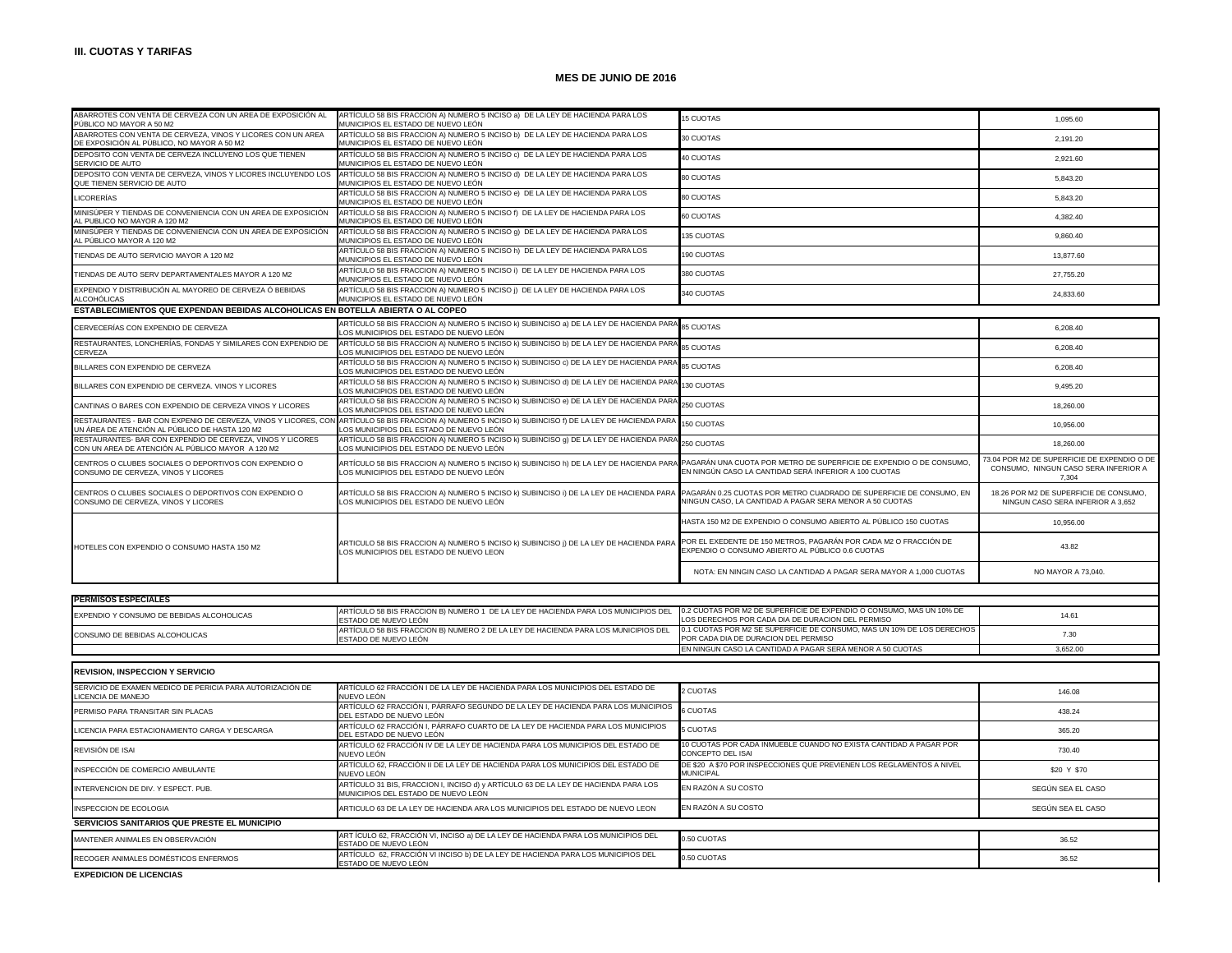| ABARROTES CON VENTA DE CERVEZA CON UN AREA DE EXPOSICIÓN AL<br>PÚBLICO NO MAYOR A 50 M2                         | ARTÍCULO 58 BIS FRACCION A) NUMERO 5 INCISO a) DE LA LEY DE HACIENDA PARA LOS<br>MUNICIPIOS EL ESTADO DE NUEVO LEÓN                                                                                   | <b>15 CUOTAS</b>                                                                                                               | 1.095.60                                                                                     |
|-----------------------------------------------------------------------------------------------------------------|-------------------------------------------------------------------------------------------------------------------------------------------------------------------------------------------------------|--------------------------------------------------------------------------------------------------------------------------------|----------------------------------------------------------------------------------------------|
| ABARROTES CON VENTA DE CERVEZA, VINOS Y LICORES CON UN AREA<br>DE EXPOSICIÓN AL PÚBLICO, NO MAYOR A 50 M2       | ARTÍCULO 58 BIS FRACCION A) NUMERO 5 INCISO b) DE LA LEY DE HACIENDA PARA LOS<br>MUNICIPIOS EL ESTADO DE NUEVO LEÓN                                                                                   | 30 CUOTAS                                                                                                                      | 2,191.20                                                                                     |
| DEPOSITO CON VENTA DE CERVEZA INCLUYENO LOS QUE TIENEN<br>SERVICIO DE AUTO                                      | ARTÍCULO 58 BIS FRACCION A) NUMERO 5 INCISO c) DE LA LEY DE HACIENDA PARA LOS<br>MUNICIPIOS EL ESTADO DE NUEVO LEÓN                                                                                   | 40 CUOTAS                                                                                                                      | 2,921.60                                                                                     |
| DEPOSITO CON VENTA DE CERVEZA, VINOS Y LICORES INCLUYENDO LOS<br>QUE TIENEN SERVICIO DE AUTO                    | ARTÍCULO 58 BIS FRACCION A) NUMERO 5 INCISO d) DE LA LEY DE HACIENDA PARA LOS<br>MUNICIPIOS EL ESTADO DE NUEVO LEÓN                                                                                   | 80 CUOTAS                                                                                                                      | 5,843.20                                                                                     |
| LICORERÍAS                                                                                                      | ARTÍCULO 58 BIS FRACCION A) NUMERO 5 INCISO e) DE LA LEY DE HACIENDA PARA LOS<br>MUNICIPIOS EL ESTADO DE NUEVO LEÓN                                                                                   | 80 CUOTAS                                                                                                                      | 5,843.20                                                                                     |
| MINISÚPER Y TIENDAS DE CONVENIENCIA CON UN AREA DE EXPOSICIÓN<br>AL PUBLICO NO MAYOR A 120 M2                   | ARTÍCULO 58 BIS FRACCION A) NUMERO 5 INCISO f) DE LA LEY DE HACIENDA PARA LOS<br>MUNICIPIOS EL ESTADO DE NUEVO LEÓN                                                                                   | 60 CUOTAS                                                                                                                      | 4,382.40                                                                                     |
| MINISÚPER Y TIENDAS DE CONVENIENCIA CON UN AREA DE EXPOSICIÓN<br>AL PÚBLICO MAYOR A 120 M2                      | ARTÍCULO 58 BIS FRACCION A) NUMERO 5 INCISO 9) DE LA LEY DE HACIENDA PARA LOS<br>MUNICIPIOS EL ESTADO DE NUEVO LEÓN                                                                                   | 135 CUOTAS                                                                                                                     | 9,860.40                                                                                     |
| TIENDAS DE AUTO SERVICIO MAYOR A 120 M2                                                                         | ARTÍCULO 58 BIS FRACCION A) NUMERO 5 INCISO h) DE LA LEY DE HACIENDA PARA LOS<br>MUNICIPIOS EL ESTADO DE NUEVO LEÓN                                                                                   | 190 CUOTAS                                                                                                                     | 13,877.60                                                                                    |
| TIENDAS DE AUTO SERV DEPARTAMENTALES MAYOR A 120 M2                                                             | ARTÍCULO 58 BIS FRACCION A) NUMERO 5 INCISO i) DE LA LEY DE HACIENDA PARA LOS<br>MUNICIPIOS EL ESTADO DE NUEVO LEÓN                                                                                   | 380 CUOTAS                                                                                                                     | 27,755.20                                                                                    |
| EXPENDIO Y DISTRIBUCIÓN AL MAYOREO DE CERVEZA Ó BEBIDAS<br>ALCOHÓLICAS                                          | ARTÍCULO 58 BIS FRACCION A) NUMERO 5 INCISO ¡) DE LA LEY DE HACIENDA PARA LOS<br>MUNICIPIOS EL ESTADO DE NUEVO LEÓN                                                                                   | 340 CUOTAS                                                                                                                     | 24,833.60                                                                                    |
| ESTABLECIMIENTOS QUE EXPENDAN BEBIDAS ALCOHOLICAS EN BOTELLA ABIERTA O AL COPEO                                 |                                                                                                                                                                                                       |                                                                                                                                |                                                                                              |
| CERVECERÍAS CON EXPENDIO DE CERVEZA                                                                             | ARTÍCULO 58 BIS FRACCION A) NUMERO 5 INCISO k) SUBINCISO a) DE LA LEY DE HACIENDA PARA<br>OS MUNICIPIOS DEL ESTADO DE NUEVO LEÓN                                                                      | 85 CUOTAS                                                                                                                      | 6,208.40                                                                                     |
| RESTAURANTES, LONCHERÍAS, FONDAS Y SIMILARES CON EXPENDIO DE<br>CERVEZA                                         | ARTÍCULO 58 BIS FRACCION A) NUMERO 5 INCISO k) SUBINCISO b) DE LA LEY DE HACIENDA PARA<br>LOS MUNICIPIOS DEL ESTADO DE NUEVO LEÓN                                                                     | 85 CUOTAS                                                                                                                      | 6,208.40                                                                                     |
| BILLARES CON EXPENDIO DE CERVEZA                                                                                | ARTÍCULO 58 BIS FRACCION A) NUMERO 5 INCISO k) SUBINCISO c) DE LA LEY DE HACIENDA PAR.<br>OS MUNICIPIOS DEL ESTADO DE NUEVO LEÓN                                                                      | 85 CUOTAS                                                                                                                      | 6,208.40                                                                                     |
| BILLARES CON EXPENDIO DE CERVEZA. VINOS Y LICORES                                                               | ARTÍCULO 58 BIS FRACCION A) NUMERO 5 INCISO k) SUBINCISO d) DE LA LEY DE HACIENDA PARA<br>LOS MUNICIPIOS DEL ESTADO DE NUEVO LEÓN                                                                     | 130 CUOTAS                                                                                                                     | 9,495.20                                                                                     |
| CANTINAS O BARES CON EXPENDIO DE CERVEZA VINOS Y LICORES                                                        | ARTÍCULO 58 BIS FRACCION A) NUMERO 5 INCISO k) SUBINCISO e) DE LA LEY DE HACIENDA PARA<br>OS MUNICIPIOS DEL ESTADO DE NUEVO LEÓN                                                                      | 250 CUOTAS                                                                                                                     | 18,260.00                                                                                    |
| UN ÁREA DE ATENCIÓN AL PÚBLICO DE HASTA 120 M2                                                                  | RESTAURANTES - BAR CON EXPENIO DE CERVEZA, VINOS Y LICORES, CON ARTÍCULO 58 BIS FRACCION A) NUMERO 5 INCISO K) SUBINCISO f) DE LA LEY DE HACIENDA PAR<br>LOS MUNICIPIOS DEL ESTADO DE NUEVO LEÓN      | 150 CUOTAS                                                                                                                     | 10,956.00                                                                                    |
| RESTAURANTES- BAR CON EXPENDIO DE CERVEZA, VINOS Y LICORES<br>CON UN AREA DE ATENCIÓN AL PÚBLICO MAYOR A 120 M2 | ARTÍCULO 58 BIS FRACCION A) NUMERO 5 INCISO k) SUBINCISO g) DE LA LEY DE HACIENDA PARA<br>OS MUNICIPIOS DEL ESTADO DE NUEVO LEÓN                                                                      | 250 CUOTAS                                                                                                                     | 18,260.00                                                                                    |
| CENTROS O CLUBES SOCIALES O DEPORTIVOS CON EXPENDIO O<br>CONSUMO DE CERVEZA, VINOS Y LICORES                    | ARTÍCULO 58 BIS FRACCION A) NUMERO 5 INCISO k) SUBINCISO h) DE LA LEY DE HACIENDA PARA PAGARÁN UNA CUOTA POR METRO DE SUPERFICIE DE EXPENDIO O DE CONSUMO,<br>LOS MUNICIPIOS DEL ESTADO DE NUEVO LEÓN | EN NINGÚN CASO LA CANTIDAD SERÁ INFERIOR A 100 CUOTAS                                                                          | 73.04 POR M2 DE SUPERFICIE DE EXPENDIO O DE<br>CONSUMO. NINGUN CASO SERA INFERIOR A<br>7,304 |
| CENTROS O CLUBES SOCIALES O DEPORTIVOS CON EXPENDIO O<br>CONSUMO DE CERVEZA, VINOS Y LICORES                    | ARTÍCULO 58 BIS FRACCION A) NUMERO 5 INCISO k) SUBINCISO i) DE LA LEY DE HACIENDA PARA<br>LOS MUNICIPIOS DEL ESTADO DE NUEVO LEÓN                                                                     | PAGARÁN 0.25 CUOTAS POR METRO CUADRADO DE SUPERFICIE DE CONSUMO, EN<br>NINGUN CASO, LA CANTIDAD A PAGAR SERA MENOR A 50 CUOTAS | 18.26 POR M2 DE SUPERFICIE DE CONSUMO,<br>NINGUN CASO SERA INFERIOR A 3,652                  |
|                                                                                                                 |                                                                                                                                                                                                       | HASTA 150 M2 DE EXPENDIO O CONSUMO ABIERTO AL PÚBLICO 150 CUOTAS                                                               | 10,956.00                                                                                    |
| HOTELES CON EXPENDIO O CONSUMO HASTA 150 M2                                                                     | ARTICULO 58 BIS FRACCION A) NUMERO 5 INCISO k) SUBINCISO j) DE LA LEY DE HACIENDA PARA<br>LOS MUNICIPIOS DEL ESTADO DE NUEVO LEON                                                                     | POR EL EXEDENTE DE 150 METROS, PAGARÁN POR CADA M2 O FRACCIÓN DE<br>EXPENDIO O CONSUMO ABIERTO AL PÚBLICO 0.6 CUOTAS           | 43.82                                                                                        |
|                                                                                                                 |                                                                                                                                                                                                       | NOTA: EN NINGIN CASO LA CANTIDAD A PAGAR SERA MAYOR A 1,000 CUOTAS                                                             | NO MAYOR A 73,040.                                                                           |
| <b>PERMISOS ESPECIALES</b>                                                                                      |                                                                                                                                                                                                       |                                                                                                                                |                                                                                              |
|                                                                                                                 |                                                                                                                                                                                                       |                                                                                                                                |                                                                                              |
| EXPENDIO Y CONSUMO DE BEBIDAS ALCOHOLICAS                                                                       | ARTÍCULO 58 BIS FRACCION B) NUMERO 1 DE LA LEY DE HACIENDA PARA LOS MUNICIPIOS DEL<br>ESTADO DE NUEVO LEÓN                                                                                            | 0.2 CUOTAS POR M2 DE SUPERFICIE DE EXPENDIO O CONSUMO, MAS UN 10% DE<br>OS DERECHOS POR CADA DIA DE DURACION DEL PERMISO       | 14.61                                                                                        |
| CONSUMO DE BEBIDAS ALCOHOLICAS                                                                                  | ARTÍCULO 58 BIS FRACCION B) NUMERO 2 DE LA LEY DE HACIENDA PARA LOS MUNICIPIOS DEL<br>ESTADO DE NUEVO LEÓN                                                                                            | 0.1 CUOTAS POR M2 SE SUPERFICIE DE CONSUMO, MAS UN 10% DE LOS DERECHOS<br>POR CADA DIA DE DURACION DEL PERMISO                 | 7.30                                                                                         |
|                                                                                                                 |                                                                                                                                                                                                       | EN NINGUN CASO LA CANTIDAD A PAGAR SERÁ MENOR A 50 CUOTAS                                                                      | 3.652.00                                                                                     |
|                                                                                                                 |                                                                                                                                                                                                       |                                                                                                                                |                                                                                              |
| REVISION, INSPECCION Y SERVICIO                                                                                 |                                                                                                                                                                                                       |                                                                                                                                |                                                                                              |
| SERVICIO DE EXAMEN MEDICO DE PERICIA PARA AUTORIZACIÓN DE<br>LICENCIA DE MANEJO                                 | ARTÍCULO 62 FRACCIÓN I DE LA LEY DE HACIENDA PARA LOS MUNICIPIOS DEL ESTADO DE<br>NUEVO LEÓN                                                                                                          | 2 CUOTAS                                                                                                                       | 146.08                                                                                       |
| PERMISO PARA TRANSITAR SIN PLACAS                                                                               | ARTÍCULO 62 FRACCIÓN I, PÁRRAFO SEGUNDO DE LA LEY DE HACIENDA PARA LOS MUNICIPIOS<br>DEL ESTADO DE NUEVO LEÓN                                                                                         | <b>CUOTAS</b>                                                                                                                  | 438.24                                                                                       |
| LICENCIA PARA ESTACIONAMIENTO CARGA Y DESCARGA                                                                  | ARTÍCULO 62 FRACCIÓN I, PÁRRAFO CUARTO DE LA LEY DE HACIENDA PARA LOS MUNICIPIOS<br>DEL ESTADO DE NUEVO LEÓN                                                                                          | 5 CUOTAS                                                                                                                       | 365.20                                                                                       |

|                                              | LIEL ESTADO DE NUEVO LEON                                                                                                  |                                                                                               |                   |
|----------------------------------------------|----------------------------------------------------------------------------------------------------------------------------|-----------------------------------------------------------------------------------------------|-------------------|
| REVISIÓN DE ISAI                             | ARTÍCULO 62 FRACCIÓN IV DE LA LEY DE HACIENDA PARA LOS MUNICIPIOS DEL ESTADO DE<br>NUEVO LEÓN                              | 10 CUOTAS POR CADA INMUEBLE CUANDO NO EXISTA CANTIDAD A PAGAR POR<br><b>CONCEPTO DEL ISAI</b> | 730.40            |
| INSPECCIÓN DE COMERCIO AMBULANTE             | ARTÍCULO 62. FRACCIÓN II DE LA LEY DE HACIENDA PARA LOS MUNICIPIOS DEL ESTADO DE<br>NUEVO LEÓN                             | DE \$20 A \$70 POR INSPECCIONES QUE PREVIENEN LOS REGLAMENTOS A NIVEL<br><b>MUNICIPAL</b>     | \$20 Y \$70       |
| INTERVENCION DE DIV. Y ESPECT. PUB.          | ARTÍCULO 31 BIS, FRACCION I, INCISO d) y ARTÍCULO 63 DE LA LEY DE HACIENDA PARA LOS<br>MUNICIPIOS DEL ESTADO DE NUEVO LEÓN | EN RAZÓN A SU COSTO                                                                           | SEGÚN SEA EL CASO |
| INSPECCION DE ECOLOGIA                       | ARTICULO 63 DE LA LEY DE HACIENDA ARA LOS MUNICIPIOS DEL ESTADO DE NUEVO LEON                                              | EN RAZÓN A SU COSTO                                                                           | SEGÚN SEA EL CASO |
| SERVICIOS SANITARIOS QUE PRESTE EL MUNICIPIO |                                                                                                                            |                                                                                               |                   |
| MANTENER ANIMALES EN OBSERVACIÓN             | ART ÍCULO 62, FRACCIÓN VI, INCISO a) DE LA LEY DE HACIENDA PARA LOS MUNICIPIOS DEL<br>ESTADO DE NUEVO LEÓN                 | 0.50 CUOTAS                                                                                   | 36.52             |
| RECOGER ANIMALES DOMÉSTICOS ENFERMOS         | ARTÍCULO 62, FRACCIÓN VI INCISO b) DE LA LEY DE HACIENDA PARA LOS MUNICIPIOS DEL<br>ESTADO DE NUEVO LEÓN                   | 0.50 CUOTAS                                                                                   | 36.52             |
| <b>EXPEDICION DE LICENCIAS</b>               |                                                                                                                            |                                                                                               |                   |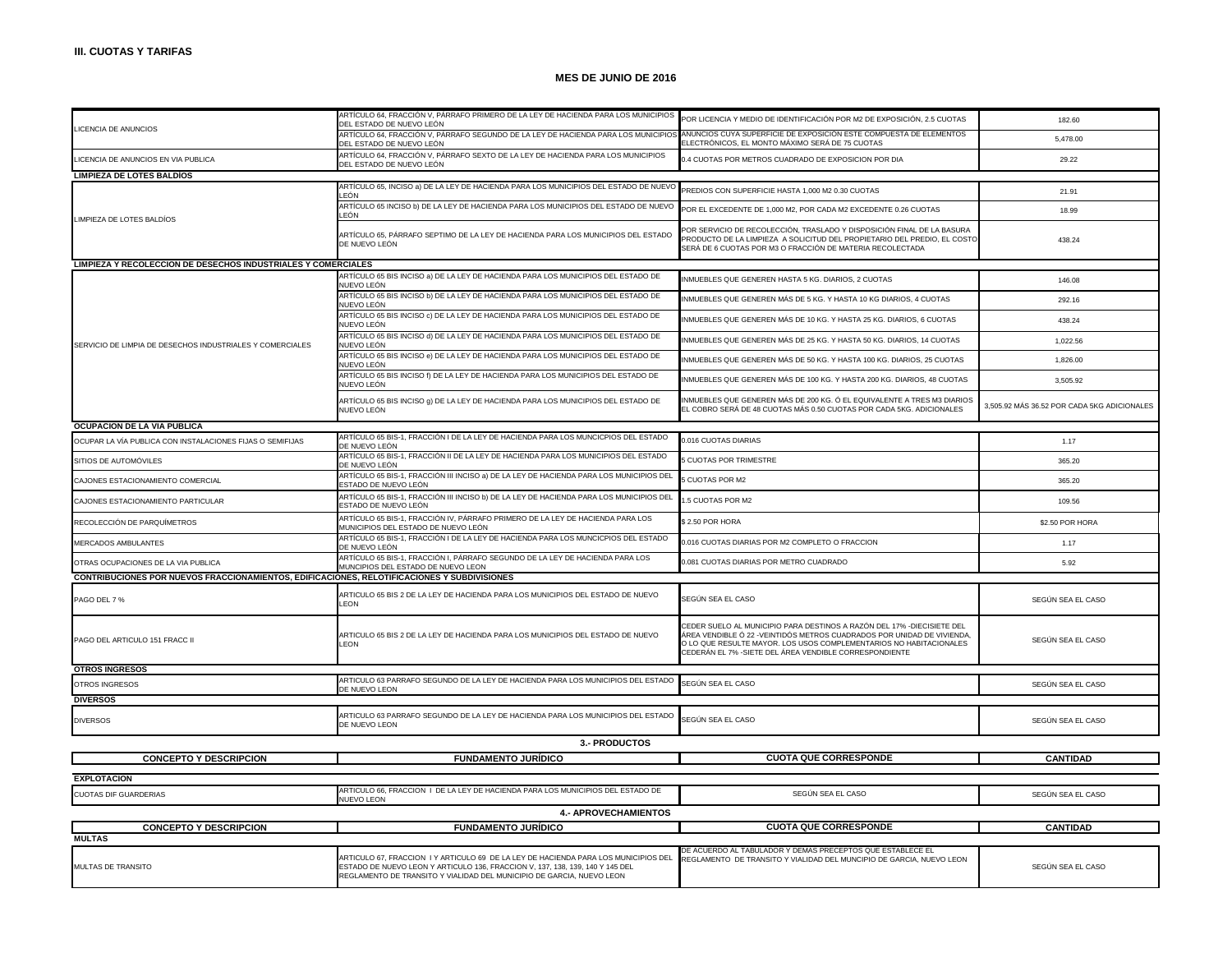$\mathbf{I}$ 

# **MES DE JUNIO DE 2016**

|                                                                                             | ARTÍCULO 64, FRACCIÓN V, PÁRRAFO PRIMERO DE LA LEY DE HACIENDA PARA LOS MUNICIPIOS<br>DEL ESTADO DE NUEVO LEÓN                                                       | POR LICENCIA Y MEDIO DE IDENTIFICACIÓN POR M2 DE EXPOSICIÓN, 2.5 CUOTAS                                                       | 182.60                                      |
|---------------------------------------------------------------------------------------------|----------------------------------------------------------------------------------------------------------------------------------------------------------------------|-------------------------------------------------------------------------------------------------------------------------------|---------------------------------------------|
| LICENCIA DE ANUNCIOS                                                                        | ARTÍCULO 64, FRACCIÓN V, PÁRRAFO SEGUNDO DE LA LEY DE HACIENDA PARA LOS MUNICIPIOS ANUNCIOS CUYA SUPERFICIE DE EXPOSICIÓN ESTE COMPUESTA DE ELEMENTOS                |                                                                                                                               |                                             |
|                                                                                             | DEL ESTADO DE NUEVO LEÓN                                                                                                                                             | ELECTRÓNICOS. EL MONTO MÁXIMO SERÁ DE 75 CUOTAS                                                                               | 5,478.00                                    |
| LICENCIA DE ANUNCIOS EN VIA PUBLICA                                                         | ARTÍCULO 64, FRACCIÓN V, PÁRRAFO SEXTO DE LA LEY DE HACIENDA PARA LOS MUNICIPIOS<br>DEL ESTADO DE NUEVO LEÓN                                                         | 0.4 CUOTAS POR METROS CUADRADO DE EXPOSICION POR DIA                                                                          | 29.22                                       |
| <b>LIMPIEZA DE LOTES BALDIOS</b>                                                            |                                                                                                                                                                      |                                                                                                                               |                                             |
|                                                                                             | ARTÍCULO 65, INCISO a) DE LA LEY DE HACIENDA PARA LOS MUNICIPIOS DEL ESTADO DE NUEVO                                                                                 | PREDIOS CON SUPERFICIE HASTA 1,000 M2 0.30 CUOTAS                                                                             | 21.91                                       |
|                                                                                             | I FÓN                                                                                                                                                                |                                                                                                                               |                                             |
|                                                                                             | ARTÍCULO 65 INCISO b) DE LA LEY DE HACIENDA PARA LOS MUNICIPIOS DEL ESTADO DE NUEVO<br>LEÓN                                                                          | OR EL EXCEDENTE DE 1,000 M2, POR CADA M2 EXCEDENTE 0.26 CUOTAS                                                                | 18.99                                       |
| LIMPIEZA DE LOTES BALDÍOS                                                                   |                                                                                                                                                                      | OR SERVICIO DE RECOLECCIÓN, TRASLADO Y DISPOSICIÓN FINAL DE LA BASURA                                                         |                                             |
|                                                                                             | ARTÍCULO 65, PÁRRAFO SEPTIMO DE LA LEY DE HACIENDA PARA LOS MUNICIPIOS DEL ESTADO<br>DE NUEVO LEÓN                                                                   | PRODUCTO DE LA LIMPIEZA A SOLICITUD DEL PROPIETARIO DEL PREDIO, EL COSTO                                                      | 438.24                                      |
|                                                                                             |                                                                                                                                                                      | SERÁ DE 6 CUOTAS POR M3 O FRACCIÓN DE MATERIA RECOLECTADA                                                                     |                                             |
| LIMPIEZA Y RECOLECCION DE DESECHOS INDUSTRIALES Y COMERCIALES                               |                                                                                                                                                                      |                                                                                                                               |                                             |
|                                                                                             | ARTÍCULO 65 BIS INCISO a) DE LA LEY DE HACIENDA PARA LOS MUNICIPIOS DEL ESTADO DE                                                                                    | NMUEBLES QUE GENEREN HASTA 5 KG. DIARIOS, 2 CUOTAS                                                                            | 146.08                                      |
|                                                                                             | NUEVO LEÓN<br>ARTÍCULO 65 BIS INCISO b) DE LA LEY DE HACIENDA PARA LOS MUNICIPIOS DEL ESTADO DE                                                                      |                                                                                                                               |                                             |
|                                                                                             | NUEVO LEÓN                                                                                                                                                           | INMUEBLES QUE GENEREN MÁS DE 5 KG. Y HASTA 10 KG DIARIOS, 4 CUOTAS                                                            | 292.16                                      |
|                                                                                             | ARTÍCULO 65 BIS INCISO c) DE LA LEY DE HACIENDA PARA LOS MUNICIPIOS DEL ESTADO DE                                                                                    | INMUEBLES QUE GENEREN MÁS DE 10 KG. Y HASTA 25 KG. DIARIOS, 6 CUOTAS                                                          | 438.24                                      |
|                                                                                             | NUEVO LEÓN<br>ARTÍCULO 65 BIS INCISO d) DE LA LEY DE HACIENDA PARA LOS MUNICIPIOS DEL ESTADO DE                                                                      |                                                                                                                               |                                             |
| SERVICIO DE LIMPIA DE DESECHOS INDUSTRIALES Y COMERCIALES                                   | NUEVO LEÓN                                                                                                                                                           | INMUEBLES QUE GENEREN MÁS DE 25 KG. Y HASTA 50 KG. DIARIOS, 14 CUOTAS                                                         | 1,022.56                                    |
|                                                                                             | ARTÍCULO 65 BIS INCISO e) DE LA LEY DE HACIENDA PARA LOS MUNICIPIOS DEL ESTADO DE                                                                                    | INMUEBLES QUE GENEREN MÁS DE 50 KG. Y HASTA 100 KG. DIARIOS, 25 CUOTAS                                                        | 1,826.00                                    |
|                                                                                             | NUEVO LEÓN<br>ARTÍCULO 65 BIS INCISO f) DE LA LEY DE HACIENDA PARA LOS MUNICIPIOS DEL ESTADO DE                                                                      |                                                                                                                               |                                             |
|                                                                                             | NUEVO LEÓN                                                                                                                                                           | INMUEBLES QUE GENEREN MÁS DE 100 KG. Y HASTA 200 KG. DIARIOS, 48 CUOTAS                                                       | 3,505.92                                    |
|                                                                                             | ARTÍCULO 65 BIS INCISO g) DE LA LEY DE HACIENDA PARA LOS MUNICIPIOS DEL ESTADO DE                                                                                    | NMUEBLES QUE GENEREN MÁS DE 200 KG. Ó EL EQUIVALENTE A TRES M3 DIARIOS                                                        |                                             |
|                                                                                             | NUEVO LEÓN                                                                                                                                                           | EL COBRO SERÁ DE 48 CUOTAS MÁS 0.50 CUOTAS POR CADA 5KG. ADICIONALES                                                          | 3,505.92 MÁS 36.52 POR CADA 5KG ADICIONALES |
| OCUPACION DE LA VIA PUBLICA                                                                 |                                                                                                                                                                      |                                                                                                                               |                                             |
| OCUPAR LA VÍA PUBLICA CON INSTALACIONES FIJAS O SEMIFIJAS                                   | ARTÍCULO 65 BIS-1, FRACCIÓN I DE LA LEY DE HACIENDA PARA LOS MUNCICPIOS DEL ESTADO                                                                                   | 0.016 CUOTAS DIARIAS                                                                                                          | 1.17                                        |
|                                                                                             | DE NUEVO LEÓN                                                                                                                                                        |                                                                                                                               |                                             |
| SITIOS DE AUTOMÓVILES                                                                       | ARTÍCULO 65 BIS-1, FRACCIÓN II DE LA LEY DE HACIENDA PARA LOS MUNICIPIOS DEL ESTADO<br>DE NUEVO LEÓN                                                                 | <b>CUOTAS POR TRIMESTRE</b>                                                                                                   | 365.20                                      |
| CAJONES ESTACIONAMIENTO COMERCIAL                                                           | ARTÍCULO 65 BIS-1, FRACCIÓN III INCISO a) DE LA LEY DE HACIENDA PARA LOS MUNICIPIOS DEL                                                                              | <b>CUOTAS POR M2</b>                                                                                                          | 365.20                                      |
|                                                                                             | ESTADO DE NUEVO LEÓN                                                                                                                                                 |                                                                                                                               |                                             |
| CAJONES ESTACIONAMIENTO PARTICULAR                                                          | ARTÍCULO 65 BIS-1, FRACCIÓN III INCISO b) DE LA LEY DE HACIENDA PARA LOS MUNICIPIOS DEL<br>ESTADO DE NUEVO LEÓN                                                      | .5 CUOTAS POR M2                                                                                                              | 109.56                                      |
|                                                                                             | ARTÍCULO 65 BIS-1, FRACCIÓN IV, PÁRRAFO PRIMERO DE LA LEY DE HACIENDA PARA LOS                                                                                       |                                                                                                                               |                                             |
| RECOLECCIÓN DE PARQUÍMETROS                                                                 | MUNICIPIOS DEL ESTADO DE NUEVO LEÓN                                                                                                                                  | \$2.50 POR HORA                                                                                                               | \$2.50 POR HORA                             |
| MERCADOS AMBULANTES                                                                         | ARTÍCULO 65 BIS-1, FRACCIÓN I DE LA LEY DE HACIENDA PARA LOS MUNCICPIOS DEL ESTADO<br>DE NUEVO LEÓN                                                                  | 0.016 CUOTAS DIARIAS POR M2 COMPLETO O FRACCION                                                                               | 1.17                                        |
|                                                                                             | ARTÍCULO 65 BIS-1, FRACCIÓN I, PÁRRAFO SEGUNDO DE LA LEY DE HACIENDA PARA LOS                                                                                        |                                                                                                                               |                                             |
| OTRAS OCUPACIONES DE LA VIA PUBLICA                                                         | MUNCIPIOS DEL ESTADO DE NUEVO LEON                                                                                                                                   | 0.081 CUOTAS DIARIAS POR METRO CUADRADO                                                                                       | 5.92                                        |
| CONTRIBUCIONES POR NUEVOS FRACCIONAMIENTOS, EDIFICACIONES, RELOTIFICACIONES Y SUBDIVISIONES |                                                                                                                                                                      |                                                                                                                               |                                             |
| PAGO DEL 7 %                                                                                | ARTICULO 65 BIS 2 DE LA LEY DE HACIENDA PARA LOS MUNICIPIOS DEL ESTADO DE NUEVO                                                                                      | SEGÚN SEA EL CASO                                                                                                             | SEGÚN SEA EL CASO                           |
|                                                                                             | LEON                                                                                                                                                                 |                                                                                                                               |                                             |
|                                                                                             |                                                                                                                                                                      | CEDER SUELO AL MUNICIPIO PARA DESTINOS A RAZÓN DEL 17% -DIECISIETE DEL                                                        |                                             |
| PAGO DEL ARTICULO 151 FRACC II                                                              | ARTICULO 65 BIS 2 DE LA LEY DE HACIENDA PARA LOS MUNICIPIOS DEL ESTADO DE NUEVO                                                                                      | ÁREA VENDIBLE Ó 22 -VEINTIDÓS METROS CUADRADOS POR UNIDAD DE VIVIENDA,                                                        | SEGÚN SEA EL CASO                           |
|                                                                                             | LEON                                                                                                                                                                 | O LO QUE RESULTE MAYOR. LOS USOS COMPLEMENTARIOS NO HABITACIONALES<br>CEDERÁN EL 7% - SIETE DEL ÁREA VENDIBLE CORRESPONDIENTE |                                             |
|                                                                                             |                                                                                                                                                                      |                                                                                                                               |                                             |
| <b>OTROS INGRESOS</b>                                                                       | ARTICULO 63 PARRAFO SEGUNDO DE LA LEY DE HACIENDA PARA LOS MUNICIPIOS DEL ESTADO                                                                                     |                                                                                                                               |                                             |
| <b>OTROS INGRESOS</b>                                                                       | DE NUEVO LEON                                                                                                                                                        | SEGÚN SEA EL CASO                                                                                                             | SEGÚN SEA EL CASO                           |
| <b>DIVERSOS</b>                                                                             |                                                                                                                                                                      |                                                                                                                               |                                             |
| <b>DIVERSOS</b>                                                                             | ARTICULO 63 PARRAFO SEGUNDO DE LA LEY DE HACIENDA PARA LOS MUNICIPIOS DEL ESTADO                                                                                     | SEGÚN SEA EL CASO                                                                                                             | SEGÚN SEA EL CASO                           |
|                                                                                             | DE NUEVO LEON                                                                                                                                                        |                                                                                                                               |                                             |
| 3.- PRODUCTOS                                                                               |                                                                                                                                                                      |                                                                                                                               |                                             |
| <b>CONCEPTO Y DESCRIPCION</b>                                                               | <b>FUNDAMENTO JURÍDICO</b>                                                                                                                                           | <b>CUOTA QUE CORRESPONDE</b>                                                                                                  | <b>CANTIDAD</b>                             |
|                                                                                             |                                                                                                                                                                      |                                                                                                                               |                                             |
| <b>EXPLOTACION</b>                                                                          |                                                                                                                                                                      |                                                                                                                               |                                             |
| <b>CUOTAS DIF GUARDERIAS</b>                                                                | ARTICULO 66, FRACCION I DE LA LEY DE HACIENDA PARA LOS MUNICIPIOS DEL ESTADO DE<br><b>NUEVO LEON</b>                                                                 | SEGÚN SEA EL CASO                                                                                                             | SEGÚN SEA EL CASO                           |
|                                                                                             | <b>4.- APROVECHAMIENTOS</b>                                                                                                                                          |                                                                                                                               |                                             |
| <b>CONCEPTO Y DESCRIPCION</b>                                                               | <b>FUNDAMENTO JURÍDICO</b>                                                                                                                                           | <b>CUOTA QUE CORRESPONDE</b>                                                                                                  | <b>CANTIDAD</b>                             |
| <b>MULTAS</b>                                                                               |                                                                                                                                                                      |                                                                                                                               |                                             |
| DE ACUERDO AL TABULADOR Y DEMAS PRECEPTOS QUE ESTABLECE EL                                  |                                                                                                                                                                      |                                                                                                                               |                                             |
| MULTAS DE TRANSITO                                                                          | ARTICULO 67, FRACCION I Y ARTICULO 69 DE LA LEY DE HACIENDA PARA LOS MUNICIPIOS DEL<br>ESTADO DE NUEVO LEON Y ARTICULO 136, FRACCION V, 137, 138, 139, 140 Y 145 DEL | REGLAMENTO DE TRANSITO Y VIALIDAD DEL MUNCIPIO DE GARCIA, NUEVO LEON                                                          | SEGÚN SEA EL CASO                           |
|                                                                                             | REGLAMENTO DE TRANSITO Y VIALIDAD DEL MUNICIPIO DE GARCIA, NUEVO LEON                                                                                                |                                                                                                                               |                                             |